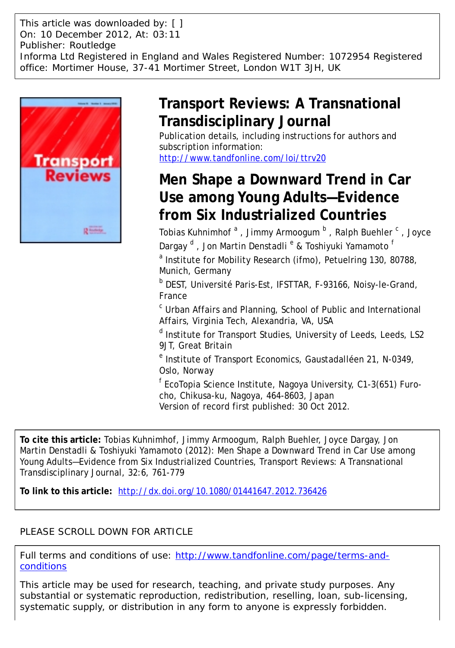This article was downloaded by: [ ] On: 10 December 2012, At: 03:11 Publisher: Routledge Informa Ltd Registered in England and Wales Registered Number: 1072954 Registered office: Mortimer House, 37-41 Mortimer Street, London W1T 3JH, UK



## **Transport Reviews: A Transnational Transdisciplinary Journal**

Publication details, including instructions for authors and subscription information: <http://www.tandfonline.com/loi/ttrv20>

# **Men Shape a Downward Trend in Car Use among Young Adults—Evidence from Six Industrialized Countries**

Tobias Kuhnimhof  ${}^{a}$  , Jimmy Armoogum  ${}^{b}$  , Ralph Buehler  ${}^{c}$  , Joyce Dargay <sup>d</sup>, Jon Martin Denstadli <sup>e</sup> & Toshiyuki Yamamoto <sup>f</sup> <sup>a</sup> Institute for Mobility Research (ifmo), Petuelring 130, 80788, Munich, Germany

<sup>b</sup> DEST, Université Paris-Est, IFSTTAR, F-93166, Noisy-le-Grand, France

<sup>c</sup> Urban Affairs and Planning, School of Public and International Affairs, Virginia Tech, Alexandria, VA, USA

<sup>d</sup> Institute for Transport Studies, University of Leeds, Leeds, LS2 9JT, Great Britain

<sup>e</sup> Institute of Transport Economics, Gaustadalléen 21, N-0349, Oslo, Norway

f EcoTopia Science Institute, Nagoya University, C1-3(651) Furocho, Chikusa-ku, Nagoya, 464-8603, Japan Version of record first published: 30 Oct 2012.

**To cite this article:** Tobias Kuhnimhof, Jimmy Armoogum, Ralph Buehler, Joyce Dargay, Jon Martin Denstadli & Toshiyuki Yamamoto (2012): Men Shape a Downward Trend in Car Use among Young Adults—Evidence from Six Industrialized Countries, Transport Reviews: A Transnational Transdisciplinary Journal, 32:6, 761-779

**To link to this article:** <http://dx.doi.org/10.1080/01441647.2012.736426>

### PLEASE SCROLL DOWN FOR ARTICLE

Full terms and conditions of use: [http://www.tandfonline.com/page/terms-and](http://www.tandfonline.com/page/terms-and-conditions)[conditions](http://www.tandfonline.com/page/terms-and-conditions)

This article may be used for research, teaching, and private study purposes. Any substantial or systematic reproduction, redistribution, reselling, loan, sub-licensing, systematic supply, or distribution in any form to anyone is expressly forbidden.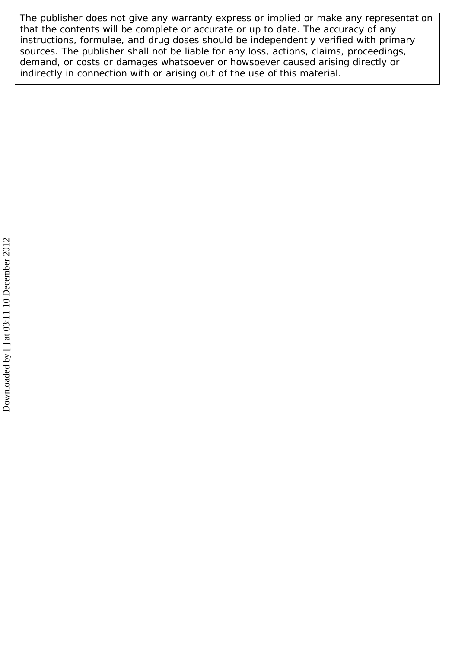The publisher does not give any warranty express or implied or make any representation that the contents will be complete or accurate or up to date. The accuracy of any instructions, formulae, and drug doses should be independently verified with primary sources. The publisher shall not be liable for any loss, actions, claims, proceedings, demand, or costs or damages whatsoever or howsoever caused arising directly or indirectly in connection with or arising out of the use of this material.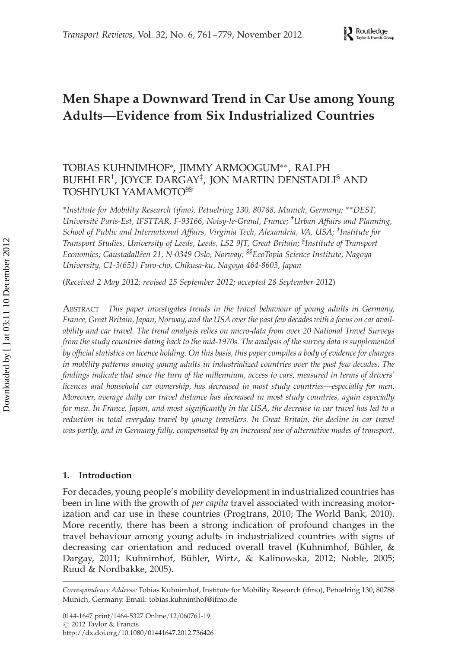## Men Shape a Downward Trend in Car Use among Young Adults—Evidence from Six Industrialized Countries

### TOBIAS KUHNIMHOF<sup>∗</sup> , JIMMY ARMOOGUM∗∗, RALPH BUEHLER<sup>†</sup>, JOYCE DARGAY<sup>‡</sup>, JON MARTIN DENSTADLI<sup>§</sup> AND TOSHIYUKI YAMAMOTO§§

∗Institute for Mobility Research (ifmo), Petuelring 130, 80788, Munich, Germany; ∗ ∗DEST, Université Paris-Est, IFSTTAR, F-93166, Noisy-le-Grand, France; <sup>†</sup>Urban Affairs and Planning, School of Public and International Affairs, Virginia Tech, Alexandria, VA, USA; ‡ Institute for Transport Studies, University of Leeds, Leeds, LS2 9JT, Great Britain; <sup>§</sup>Institute of Transport Economics, Gaustadalléen 21, N-0349 Oslo, Norway; <sup>§§</sup>EcoTopia Science Institute, Nagoya University, C1-3(651) Furo-cho, Chikusa-ku, Nagoya 464-8603, Japan

(Received 2 May 2012; revised 25 September 2012; accepted 28 September 2012)

ABSTRACT This paper investigates trends in the travel behaviour of young adults in Germany, France, Great Britain, Japan, Norway, and the USA over the past few decades with a focus on car availability and car travel. The trend analysis relies on micro-data from over 20 National Travel Surveys from the study countries dating back to the mid-1970s. The analysis of the survey data is supplemented by official statistics on licence holding. On this basis, this paper compiles a body of evidence for changes in mobility patterns among young adults in industrialized countries over the past few decades. The findings indicate that since the turn of the millennium, access to cars, measured in terms of drivers' licences and household car ownership, has decreased in most study countries—especially for men. Moreover, average daily car travel distance has decreased in most study countries, again especially for men. In France, Japan, and most significantly in the USA, the decrease in car travel has led to a reduction in total everyday travel by young travellers. In Great Britain, the decline in car travel was partly, and in Germany fully, compensated by an increased use of alternative modes of transport.

#### 1. Introduction

For decades, young people's mobility development in industrialized countries has been in line with the growth of *per capita* travel associated with increasing motorization and car use in these countries (Progtrans, 2010; The World Bank, 2010). More recently, there has been a strong indication of profound changes in the travel behaviour among young adults in industrialized countries with signs of decreasing car orientation and reduced overall travel (Kuhnimhof, Bühler, & Dargay, 2011; Kuhnimhof, Bühler, Wirtz, & Kalinowska, 2012; Noble, 2005; Ruud & Nordbakke, 2005).

Correspondence Address: Tobias Kuhnimhof, Institute for Mobility Research (ifmo), Petuelring 130, 80788 Munich, Germany. Email: tobias.kuhnimhof@ifmo.de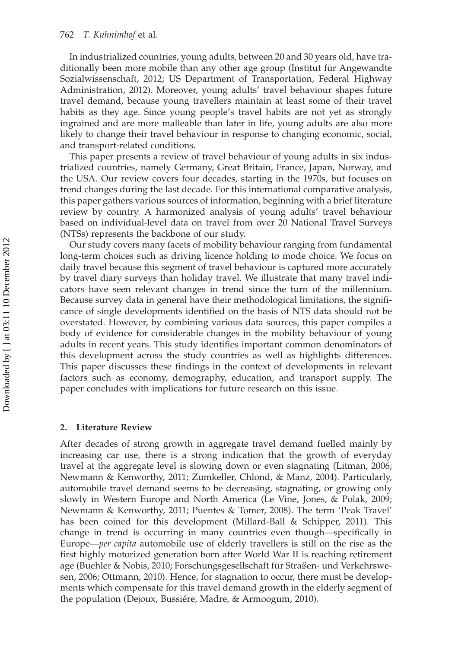In industrialized countries, young adults, between 20 and 30 years old, have traditionally been more mobile than any other age group (Institut für Angewandte Sozialwissenschaft, 2012; US Department of Transportation, Federal Highway Administration, 2012). Moreover, young adults' travel behaviour shapes future travel demand, because young travellers maintain at least some of their travel habits as they age. Since young people's travel habits are not yet as strongly ingrained and are more malleable than later in life, young adults are also more likely to change their travel behaviour in response to changing economic, social, and transport-related conditions.

This paper presents a review of travel behaviour of young adults in six industrialized countries, namely Germany, Great Britain, France, Japan, Norway, and the USA. Our review covers four decades, starting in the 1970s, but focuses on trend changes during the last decade. For this international comparative analysis, this paper gathers various sources of information, beginning with a brief literature review by country. A harmonized analysis of young adults' travel behaviour based on individual-level data on travel from over 20 National Travel Surveys (NTSs) represents the backbone of our study.

Our study covers many facets of mobility behaviour ranging from fundamental long-term choices such as driving licence holding to mode choice. We focus on daily travel because this segment of travel behaviour is captured more accurately by travel diary surveys than holiday travel. We illustrate that many travel indicators have seen relevant changes in trend since the turn of the millennium. Because survey data in general have their methodological limitations, the significance of single developments identified on the basis of NTS data should not be overstated. However, by combining various data sources, this paper compiles a body of evidence for considerable changes in the mobility behaviour of young adults in recent years. This study identifies important common denominators of this development across the study countries as well as highlights differences. This paper discusses these findings in the context of developments in relevant factors such as economy, demography, education, and transport supply. The paper concludes with implications for future research on this issue.

#### 2. Literature Review

After decades of strong growth in aggregate travel demand fuelled mainly by increasing car use, there is a strong indication that the growth of everyday travel at the aggregate level is slowing down or even stagnating (Litman, 2006; Newmann & Kenworthy, 2011; Zumkeller, Chlond, & Manz, 2004). Particularly, automobile travel demand seems to be decreasing, stagnating, or growing only slowly in Western Europe and North America (Le Vine, Jones, & Polak, 2009; Newmann & Kenworthy, 2011; Puentes & Tomer, 2008). The term 'Peak Travel' has been coined for this development (Millard-Ball & Schipper, 2011). This change in trend is occurring in many countries even though—specifically in Europe—per capita automobile use of elderly travellers is still on the rise as the first highly motorized generation born after World War II is reaching retirement age (Buehler & Nobis, 2010; Forschungsgesellschaft für Straßen- und Verkehrswesen, 2006; Ottmann, 2010). Hence, for stagnation to occur, there must be developments which compensate for this travel demand growth in the elderly segment of the population (Dejoux, Bussiére, Madre, & Armoogum, 2010).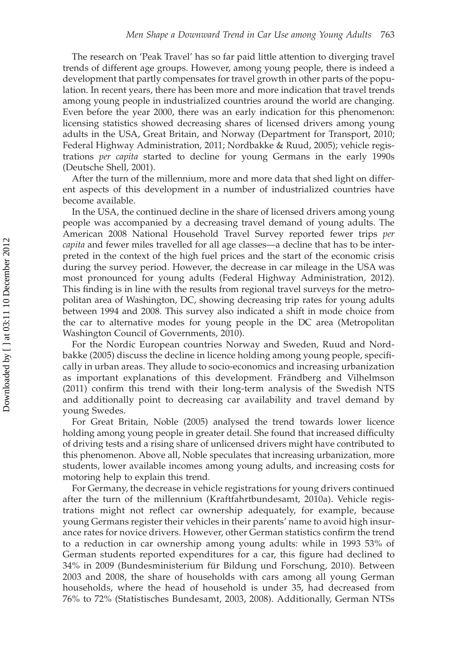The research on 'Peak Travel' has so far paid little attention to diverging travel trends of different age groups. However, among young people, there is indeed a development that partly compensates for travel growth in other parts of the population. In recent years, there has been more and more indication that travel trends among young people in industrialized countries around the world are changing. Even before the year 2000, there was an early indication for this phenomenon: licensing statistics showed decreasing shares of licensed drivers among young adults in the USA, Great Britain, and Norway (Department for Transport, 2010; Federal Highway Administration, 2011; Nordbakke & Ruud, 2005); vehicle registrations per capita started to decline for young Germans in the early 1990s (Deutsche Shell, 2001).

After the turn of the millennium, more and more data that shed light on different aspects of this development in a number of industrialized countries have become available.

In the USA, the continued decline in the share of licensed drivers among young people was accompanied by a decreasing travel demand of young adults. The American 2008 National Household Travel Survey reported fewer trips per capita and fewer miles travelled for all age classes—a decline that has to be interpreted in the context of the high fuel prices and the start of the economic crisis during the survey period. However, the decrease in car mileage in the USA was most pronounced for young adults (Federal Highway Administration, 2012). This finding is in line with the results from regional travel surveys for the metropolitan area of Washington, DC, showing decreasing trip rates for young adults between 1994 and 2008. This survey also indicated a shift in mode choice from the car to alternative modes for young people in the DC area (Metropolitan Washington Council of Governments, 2010).

For the Nordic European countries Norway and Sweden, Ruud and Nordbakke (2005) discuss the decline in licence holding among young people, specifically in urban areas. They allude to socio-economics and increasing urbanization as important explanations of this development. Frändberg and Vilhelmson (2011) confirm this trend with their long-term analysis of the Swedish NTS and additionally point to decreasing car availability and travel demand by young Swedes.

For Great Britain, Noble (2005) analysed the trend towards lower licence holding among young people in greater detail. She found that increased difficulty of driving tests and a rising share of unlicensed drivers might have contributed to this phenomenon. Above all, Noble speculates that increasing urbanization, more students, lower available incomes among young adults, and increasing costs for motoring help to explain this trend.

For Germany, the decrease in vehicle registrations for young drivers continued after the turn of the millennium (Kraftfahrtbundesamt, 2010a). Vehicle registrations might not reflect car ownership adequately, for example, because young Germans register their vehicles in their parents' name to avoid high insurance rates for novice drivers. However, other German statistics confirm the trend to a reduction in car ownership among young adults: while in 1993 53% of German students reported expenditures for a car, this figure had declined to 34% in 2009 (Bundesministerium für Bildung und Forschung, 2010). Between 2003 and 2008, the share of households with cars among all young German households, where the head of household is under 35, had decreased from 76% to 72% (Statistisches Bundesamt, 2003, 2008). Additionally, German NTSs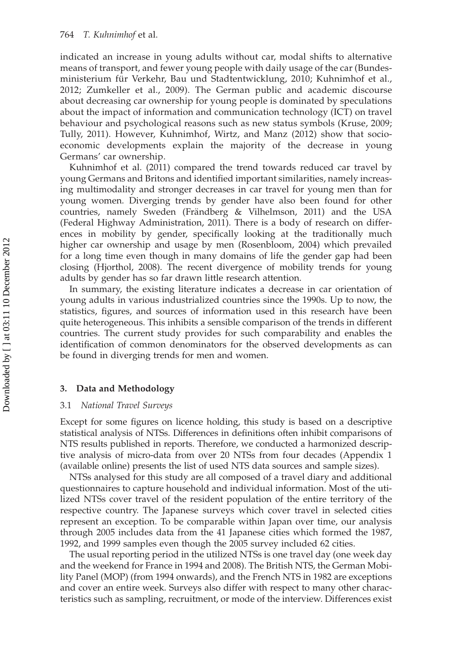indicated an increase in young adults without car, modal shifts to alternative means of transport, and fewer young people with daily usage of the car (Bundesministerium für Verkehr, Bau und Stadtentwicklung, 2010; Kuhnimhof et al., 2012; Zumkeller et al., 2009). The German public and academic discourse about decreasing car ownership for young people is dominated by speculations about the impact of information and communication technology (ICT) on travel behaviour and psychological reasons such as new status symbols (Kruse, 2009; Tully, 2011). However, Kuhnimhof, Wirtz, and Manz (2012) show that socioeconomic developments explain the majority of the decrease in young Germans' car ownership.

Kuhnimhof et al. (2011) compared the trend towards reduced car travel by young Germans and Britons and identified important similarities, namely increasing multimodality and stronger decreases in car travel for young men than for young women. Diverging trends by gender have also been found for other countries, namely Sweden (Frändberg & Vilhelmson, 2011) and the USA (Federal Highway Administration, 2011). There is a body of research on differences in mobility by gender, specifically looking at the traditionally much higher car ownership and usage by men (Rosenbloom, 2004) which prevailed for a long time even though in many domains of life the gender gap had been closing (Hjorthol, 2008). The recent divergence of mobility trends for young adults by gender has so far drawn little research attention.

In summary, the existing literature indicates a decrease in car orientation of young adults in various industrialized countries since the 1990s. Up to now, the statistics, figures, and sources of information used in this research have been quite heterogeneous. This inhibits a sensible comparison of the trends in different countries. The current study provides for such comparability and enables the identification of common denominators for the observed developments as can be found in diverging trends for men and women.

#### 3. Data and Methodology

#### 3.1 National Travel Surveys

Except for some figures on licence holding, this study is based on a descriptive statistical analysis of NTSs. Differences in definitions often inhibit comparisons of NTS results published in reports. Therefore, we conducted a harmonized descriptive analysis of micro-data from over 20 NTSs from four decades (Appendix 1 (available online) presents the list of used NTS data sources and sample sizes).

NTSs analysed for this study are all composed of a travel diary and additional questionnaires to capture household and individual information. Most of the utilized NTSs cover travel of the resident population of the entire territory of the respective country. The Japanese surveys which cover travel in selected cities represent an exception. To be comparable within Japan over time, our analysis through 2005 includes data from the 41 Japanese cities which formed the 1987, 1992, and 1999 samples even though the 2005 survey included 62 cities.

The usual reporting period in the utilized NTSs is one travel day (one week day and the weekend for France in 1994 and 2008). The British NTS, the German Mobility Panel (MOP) (from 1994 onwards), and the French NTS in 1982 are exceptions and cover an entire week. Surveys also differ with respect to many other characteristics such as sampling, recruitment, or mode of the interview. Differences exist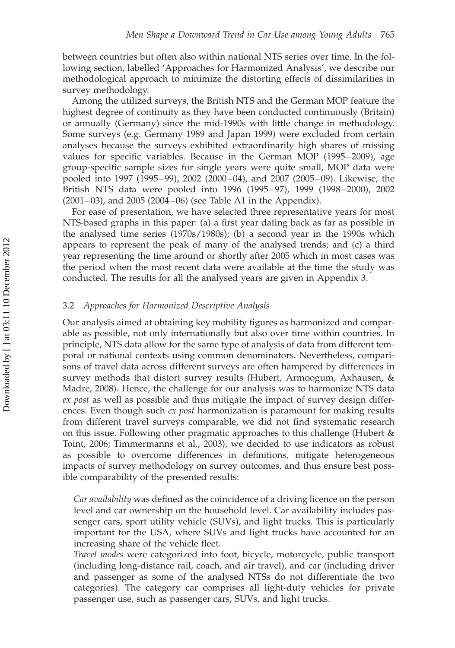between countries but often also within national NTS series over time. In the following section, labelled 'Approaches for Harmonized Analysis', we describe our methodological approach to minimize the distorting effects of dissimilarities in survey methodology.

Among the utilized surveys, the British NTS and the German MOP feature the highest degree of continuity as they have been conducted continuously (Britain) or annually (Germany) since the mid-1990s with little change in methodology. Some surveys (e.g. Germany 1989 and Japan 1999) were excluded from certain analyses because the surveys exhibited extraordinarily high shares of missing values for specific variables. Because in the German MOP (1995–2009), age group-specific sample sizes for single years were quite small, MOP data were pooled into 1997 (1995–99), 2002 (2000–04), and 2007 (2005–09). Likewise, the British NTS data were pooled into 1996 (1995–97), 1999 (1998–2000), 2002 (2001–03), and 2005 (2004–06) (see Table A1 in the Appendix).

For ease of presentation, we have selected three representative years for most NTS-based graphs in this paper: (a) a first year dating back as far as possible in the analysed time series (1970s/1980s); (b) a second year in the 1990s which appears to represent the peak of many of the analysed trends; and (c) a third year representing the time around or shortly after 2005 which in most cases was the period when the most recent data were available at the time the study was conducted. The results for all the analysed years are given in Appendix 3.

#### 3.2 Approaches for Harmonized Descriptive Analysis

Our analysis aimed at obtaining key mobility figures as harmonized and comparable as possible, not only internationally but also over time within countries. In principle, NTS data allow for the same type of analysis of data from different temporal or national contexts using common denominators. Nevertheless, comparisons of travel data across different surveys are often hampered by differences in survey methods that distort survey results (Hubert, Armoogum, Axhausen, & Madre, 2008). Hence, the challenge for our analysis was to harmonize NTS data ex post as well as possible and thus mitigate the impact of survey design differences. Even though such *ex post* harmonization is paramount for making results from different travel surveys comparable, we did not find systematic research on this issue. Following other pragmatic approaches to this challenge (Hubert & Toint, 2006; Timmermanns et al., 2003), we decided to use indicators as robust as possible to overcome differences in definitions, mitigate heterogeneous impacts of survey methodology on survey outcomes, and thus ensure best possible comparability of the presented results:

Car availability was defined as the coincidence of a driving licence on the person level and car ownership on the household level. Car availability includes passenger cars, sport utility vehicle (SUVs), and light trucks. This is particularly important for the USA, where SUVs and light trucks have accounted for an increasing share of the vehicle fleet.

Travel modes were categorized into foot, bicycle, motorcycle, public transport (including long-distance rail, coach, and air travel), and car (including driver and passenger as some of the analysed NTSs do not differentiate the two categories). The category car comprises all light-duty vehicles for private passenger use, such as passenger cars, SUVs, and light trucks.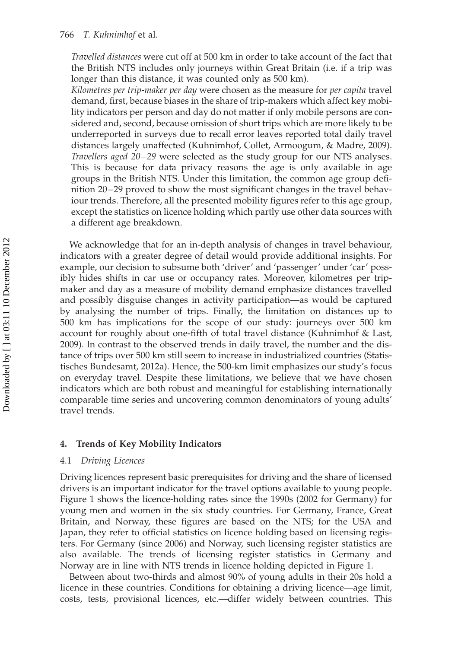Travelled distances were cut off at 500 km in order to take account of the fact that the British NTS includes only journeys within Great Britain (i.e. if a trip was longer than this distance, it was counted only as 500 km).

Kilometres per trip-maker per day were chosen as the measure for per capita travel demand, first, because biases in the share of trip-makers which affect key mobility indicators per person and day do not matter if only mobile persons are considered and, second, because omission of short trips which are more likely to be underreported in surveys due to recall error leaves reported total daily travel distances largely unaffected (Kuhnimhof, Collet, Armoogum, & Madre, 2009). Travellers aged 20–29 were selected as the study group for our NTS analyses. This is because for data privacy reasons the age is only available in age groups in the British NTS. Under this limitation, the common age group definition 20–29 proved to show the most significant changes in the travel behaviour trends. Therefore, all the presented mobility figures refer to this age group, except the statistics on licence holding which partly use other data sources with a different age breakdown.

We acknowledge that for an in-depth analysis of changes in travel behaviour, indicators with a greater degree of detail would provide additional insights. For example, our decision to subsume both 'driver' and 'passenger' under 'car' possibly hides shifts in car use or occupancy rates. Moreover, kilometres per tripmaker and day as a measure of mobility demand emphasize distances travelled and possibly disguise changes in activity participation—as would be captured by analysing the number of trips. Finally, the limitation on distances up to 500 km has implications for the scope of our study: journeys over 500 km account for roughly about one-fifth of total travel distance (Kuhnimhof & Last, 2009). In contrast to the observed trends in daily travel, the number and the distance of trips over 500 km still seem to increase in industrialized countries (Statistisches Bundesamt, 2012a). Hence, the 500-km limit emphasizes our study's focus on everyday travel. Despite these limitations, we believe that we have chosen indicators which are both robust and meaningful for establishing internationally comparable time series and uncovering common denominators of young adults' travel trends.

#### 4. Trends of Key Mobility Indicators

#### 4.1 Driving Licences

Driving licences represent basic prerequisites for driving and the share of licensed drivers is an important indicator for the travel options available to young people. Figure 1 shows the licence-holding rates since the 1990s (2002 for Germany) for young men and women in the six study countries. For Germany, France, Great Britain, and Norway, these figures are based on the NTS; for the USA and Japan, they refer to official statistics on licence holding based on licensing registers. For Germany (since 2006) and Norway, such licensing register statistics are also available. The trends of licensing register statistics in Germany and Norway are in line with NTS trends in licence holding depicted in Figure 1.

Between about two-thirds and almost 90% of young adults in their 20s hold a licence in these countries. Conditions for obtaining a driving licence—age limit, costs, tests, provisional licences, etc.—differ widely between countries. This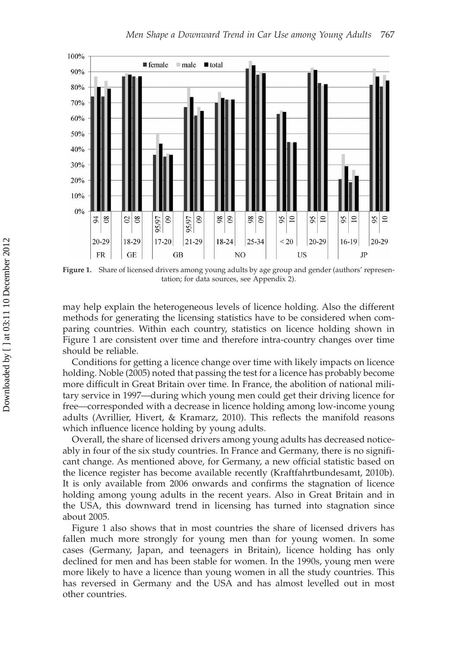Men Shape a Downward Trend in Car Use among Young Adults 767



Figure 1. Share of licensed drivers among young adults by age group and gender (authors' representation; for data sources, see Appendix 2).

may help explain the heterogeneous levels of licence holding. Also the different methods for generating the licensing statistics have to be considered when comparing countries. Within each country, statistics on licence holding shown in Figure 1 are consistent over time and therefore intra-country changes over time should be reliable.

Conditions for getting a licence change over time with likely impacts on licence holding. Noble (2005) noted that passing the test for a licence has probably become more difficult in Great Britain over time. In France, the abolition of national military service in 1997—during which young men could get their driving licence for free—corresponded with a decrease in licence holding among low-income young adults (Avrillier, Hivert, & Kramarz, 2010). This reflects the manifold reasons which influence licence holding by young adults.

Overall, the share of licensed drivers among young adults has decreased noticeably in four of the six study countries. In France and Germany, there is no significant change. As mentioned above, for Germany, a new official statistic based on the licence register has become available recently (Kraftfahrtbundesamt, 2010b). It is only available from 2006 onwards and confirms the stagnation of licence holding among young adults in the recent years. Also in Great Britain and in the USA, this downward trend in licensing has turned into stagnation since about 2005.

Figure 1 also shows that in most countries the share of licensed drivers has fallen much more strongly for young men than for young women. In some cases (Germany, Japan, and teenagers in Britain), licence holding has only declined for men and has been stable for women. In the 1990s, young men were more likely to have a licence than young women in all the study countries. This has reversed in Germany and the USA and has almost levelled out in most other countries.

100%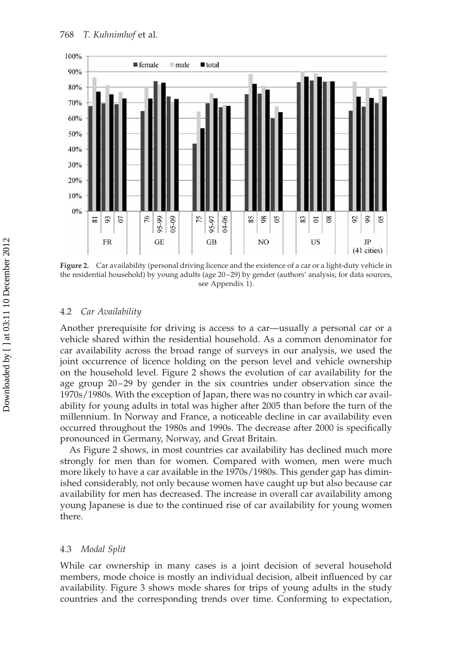

Figure 2. Car availability (personal driving licence and the existence of a car or a light-duty vehicle in the residential household) by young adults (age 20–29) by gender (authors' analysis; for data sources, see Appendix 1).

#### 4.2 Car Availability

Another prerequisite for driving is access to a car—usually a personal car or a vehicle shared within the residential household. As a common denominator for car availability across the broad range of surveys in our analysis, we used the joint occurrence of licence holding on the person level and vehicle ownership on the household level. Figure 2 shows the evolution of car availability for the age group 20–29 by gender in the six countries under observation since the 1970s/1980s. With the exception of Japan, there was no country in which car availability for young adults in total was higher after 2005 than before the turn of the millennium. In Norway and France, a noticeable decline in car availability even occurred throughout the 1980s and 1990s. The decrease after 2000 is specifically pronounced in Germany, Norway, and Great Britain.

As Figure 2 shows, in most countries car availability has declined much more strongly for men than for women. Compared with women, men were much more likely to have a car available in the 1970s/1980s. This gender gap has diminished considerably, not only because women have caught up but also because car availability for men has decreased. The increase in overall car availability among young Japanese is due to the continued rise of car availability for young women there.

#### 4.3 Modal Split

While car ownership in many cases is a joint decision of several household members, mode choice is mostly an individual decision, albeit influenced by car availability. Figure 3 shows mode shares for trips of young adults in the study countries and the corresponding trends over time. Conforming to expectation,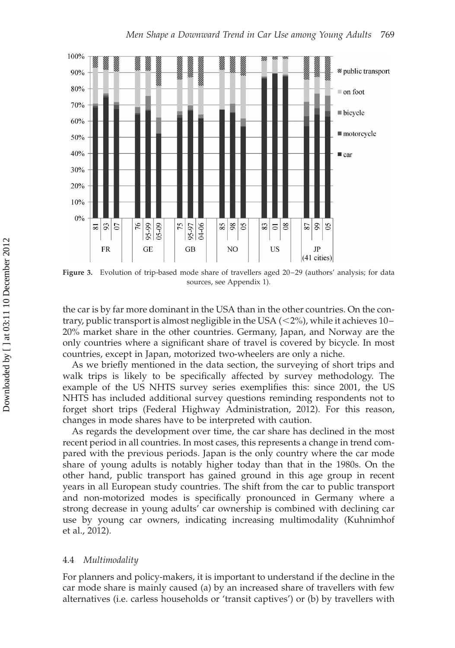

Figure 3. Evolution of trip-based mode share of travellers aged 20–29 (authors' analysis; for data sources, see Appendix 1).

the car is by far more dominant in the USA than in the other countries. On the contrary, public transport is almost negligible in the USA ( $<$ 2%), while it achieves 10-20% market share in the other countries. Germany, Japan, and Norway are the only countries where a significant share of travel is covered by bicycle. In most countries, except in Japan, motorized two-wheelers are only a niche.

As we briefly mentioned in the data section, the surveying of short trips and walk trips is likely to be specifically affected by survey methodology. The example of the US NHTS survey series exemplifies this: since 2001, the US NHTS has included additional survey questions reminding respondents not to forget short trips (Federal Highway Administration, 2012). For this reason, changes in mode shares have to be interpreted with caution.

As regards the development over time, the car share has declined in the most recent period in all countries. In most cases, this represents a change in trend compared with the previous periods. Japan is the only country where the car mode share of young adults is notably higher today than that in the 1980s. On the other hand, public transport has gained ground in this age group in recent years in all European study countries. The shift from the car to public transport and non-motorized modes is specifically pronounced in Germany where a strong decrease in young adults' car ownership is combined with declining car use by young car owners, indicating increasing multimodality (Kuhnimhof et al., 2012).

#### 4.4 Multimodality

For planners and policy-makers, it is important to understand if the decline in the car mode share is mainly caused (a) by an increased share of travellers with few alternatives (i.e. carless households or 'transit captives') or (b) by travellers with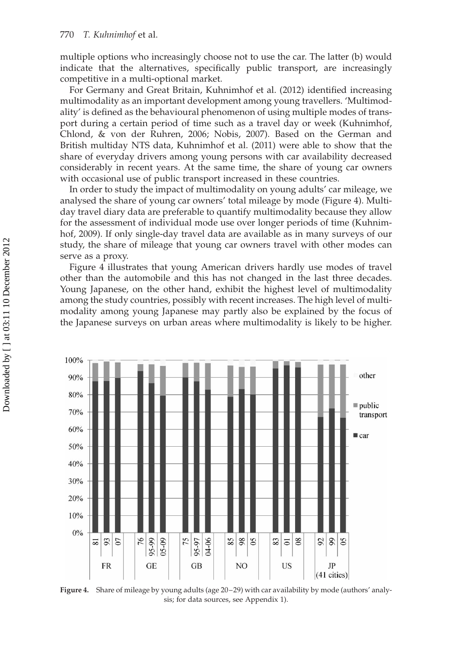multiple options who increasingly choose not to use the car. The latter (b) would indicate that the alternatives, specifically public transport, are increasingly competitive in a multi-optional market.

For Germany and Great Britain, Kuhnimhof et al. (2012) identified increasing multimodality as an important development among young travellers. 'Multimodality' is defined as the behavioural phenomenon of using multiple modes of transport during a certain period of time such as a travel day or week (Kuhnimhof, Chlond, & von der Ruhren, 2006; Nobis, 2007). Based on the German and British multiday NTS data, Kuhnimhof et al. (2011) were able to show that the share of everyday drivers among young persons with car availability decreased considerably in recent years. At the same time, the share of young car owners with occasional use of public transport increased in these countries.

In order to study the impact of multimodality on young adults' car mileage, we analysed the share of young car owners' total mileage by mode (Figure 4). Multiday travel diary data are preferable to quantify multimodality because they allow for the assessment of individual mode use over longer periods of time (Kuhnimhof, 2009). If only single-day travel data are available as in many surveys of our study, the share of mileage that young car owners travel with other modes can serve as a proxy.

Figure 4 illustrates that young American drivers hardly use modes of travel other than the automobile and this has not changed in the last three decades. Young Japanese, on the other hand, exhibit the highest level of multimodality among the study countries, possibly with recent increases. The high level of multimodality among young Japanese may partly also be explained by the focus of the Japanese surveys on urban areas where multimodality is likely to be higher.



Figure 4. Share of mileage by young adults (age 20-29) with car availability by mode (authors' analysis; for data sources, see Appendix 1).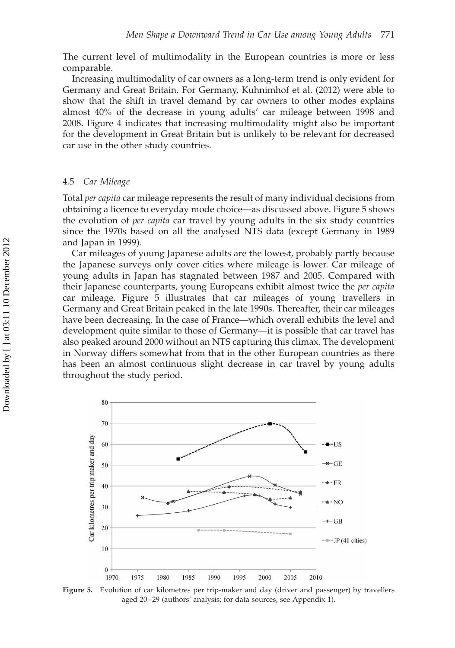The current level of multimodality in the European countries is more or less comparable.

Increasing multimodality of car owners as a long-term trend is only evident for Germany and Great Britain. For Germany, Kuhnimhof et al. (2012) were able to show that the shift in travel demand by car owners to other modes explains almost 40% of the decrease in young adults' car mileage between 1998 and 2008. Figure 4 indicates that increasing multimodality might also be important for the development in Great Britain but is unlikely to be relevant for decreased car use in the other study countries.

#### 4.5 Car Mileage

Total per capita car mileage represents the result of many individual decisions from obtaining a licence to everyday mode choice—as discussed above. Figure 5 shows the evolution of per capita car travel by young adults in the six study countries since the 1970s based on all the analysed NTS data (except Germany in 1989 and Japan in 1999).

Car mileages of young Japanese adults are the lowest, probably partly because the Japanese surveys only cover cities where mileage is lower. Car mileage of young adults in Japan has stagnated between 1987 and 2005. Compared with their Japanese counterparts, young Europeans exhibit almost twice the per capita car mileage. Figure 5 illustrates that car mileages of young travellers in Germany and Great Britain peaked in the late 1990s. Thereafter, their car mileages have been decreasing. In the case of France—which overall exhibits the level and development quite similar to those of Germany—it is possible that car travel has also peaked around 2000 without an NTS capturing this climax. The development in Norway differs somewhat from that in the other European countries as there has been an almost continuous slight decrease in car travel by young adults throughout the study period.



Figure 5. Evolution of car kilometres per trip-maker and day (driver and passenger) by travellers aged 20–29 (authors' analysis; for data sources, see Appendix 1).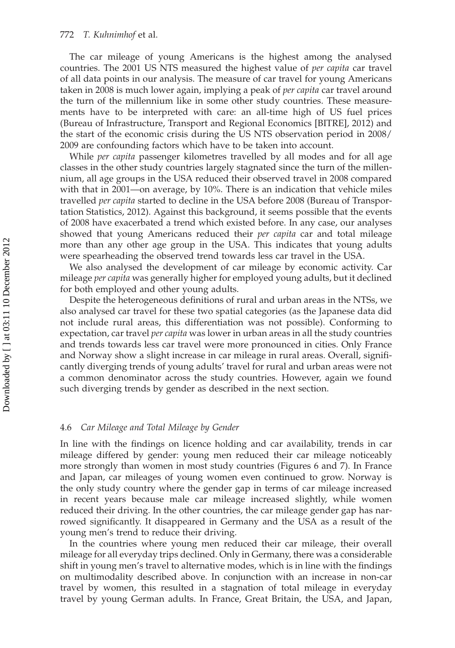The car mileage of young Americans is the highest among the analysed countries. The 2001 US NTS measured the highest value of per capita car travel of all data points in our analysis. The measure of car travel for young Americans taken in 2008 is much lower again, implying a peak of *per capita* car travel around the turn of the millennium like in some other study countries. These measurements have to be interpreted with care: an all-time high of US fuel prices (Bureau of Infrastructure, Transport and Regional Economics [BITRE], 2012) and the start of the economic crisis during the US NTS observation period in 2008/ 2009 are confounding factors which have to be taken into account.

While *per capita* passenger kilometres travelled by all modes and for all age classes in the other study countries largely stagnated since the turn of the millennium, all age groups in the USA reduced their observed travel in 2008 compared with that in 2001—on average, by 10%. There is an indication that vehicle miles travelled per capita started to decline in the USA before 2008 (Bureau of Transportation Statistics, 2012). Against this background, it seems possible that the events of 2008 have exacerbated a trend which existed before. In any case, our analyses showed that young Americans reduced their *per capita* car and total mileage more than any other age group in the USA. This indicates that young adults were spearheading the observed trend towards less car travel in the USA.

We also analysed the development of car mileage by economic activity. Car mileage per capita was generally higher for employed young adults, but it declined for both employed and other young adults.

Despite the heterogeneous definitions of rural and urban areas in the NTSs, we also analysed car travel for these two spatial categories (as the Japanese data did not include rural areas, this differentiation was not possible). Conforming to expectation, car travel *per capita* was lower in urban areas in all the study countries and trends towards less car travel were more pronounced in cities. Only France and Norway show a slight increase in car mileage in rural areas. Overall, significantly diverging trends of young adults' travel for rural and urban areas were not a common denominator across the study countries. However, again we found such diverging trends by gender as described in the next section.

#### 4.6 Car Mileage and Total Mileage by Gender

In line with the findings on licence holding and car availability, trends in car mileage differed by gender: young men reduced their car mileage noticeably more strongly than women in most study countries (Figures 6 and 7). In France and Japan, car mileages of young women even continued to grow. Norway is the only study country where the gender gap in terms of car mileage increased in recent years because male car mileage increased slightly, while women reduced their driving. In the other countries, the car mileage gender gap has narrowed significantly. It disappeared in Germany and the USA as a result of the young men's trend to reduce their driving.

In the countries where young men reduced their car mileage, their overall mileage for all everyday trips declined. Only in Germany, there was a considerable shift in young men's travel to alternative modes, which is in line with the findings on multimodality described above. In conjunction with an increase in non-car travel by women, this resulted in a stagnation of total mileage in everyday travel by young German adults. In France, Great Britain, the USA, and Japan,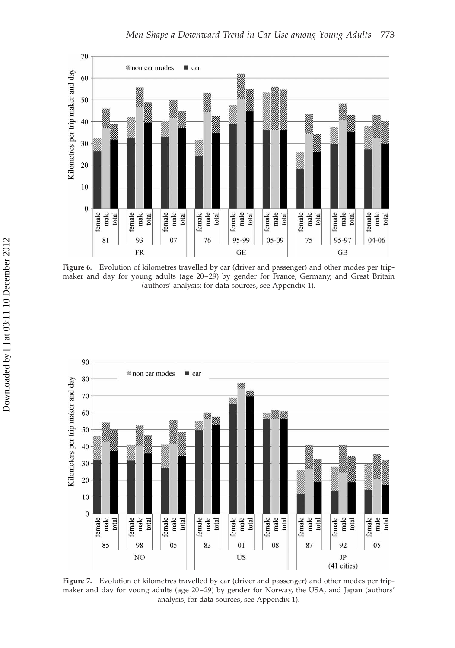

Figure 6. Evolution of kilometres travelled by car (driver and passenger) and other modes per tripmaker and day for young adults (age 20–29) by gender for France, Germany, and Great Britain (authors' analysis; for data sources, see Appendix 1).

**GE** 

**GB** 

FR



Figure 7. Evolution of kilometres travelled by car (driver and passenger) and other modes per tripmaker and day for young adults (age 20–29) by gender for Norway, the USA, and Japan (authors' analysis; for data sources, see Appendix 1).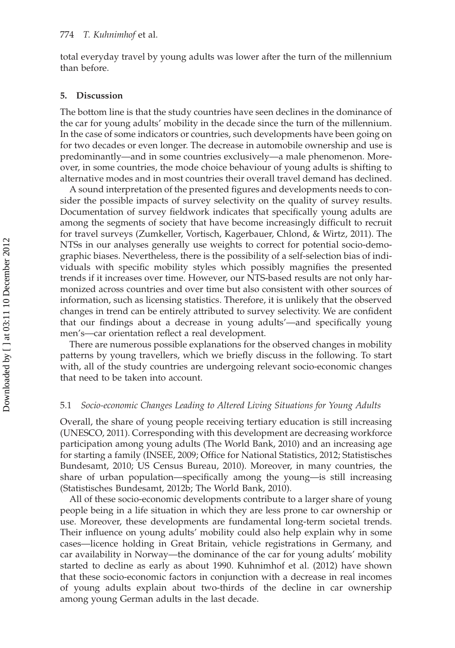total everyday travel by young adults was lower after the turn of the millennium than before.

#### 5. Discussion

The bottom line is that the study countries have seen declines in the dominance of the car for young adults' mobility in the decade since the turn of the millennium. In the case of some indicators or countries, such developments have been going on for two decades or even longer. The decrease in automobile ownership and use is predominantly—and in some countries exclusively—a male phenomenon. Moreover, in some countries, the mode choice behaviour of young adults is shifting to alternative modes and in most countries their overall travel demand has declined.

A sound interpretation of the presented figures and developments needs to consider the possible impacts of survey selectivity on the quality of survey results. Documentation of survey fieldwork indicates that specifically young adults are among the segments of society that have become increasingly difficult to recruit for travel surveys (Zumkeller, Vortisch, Kagerbauer, Chlond, & Wirtz, 2011). The NTSs in our analyses generally use weights to correct for potential socio-demographic biases. Nevertheless, there is the possibility of a self-selection bias of individuals with specific mobility styles which possibly magnifies the presented trends if it increases over time. However, our NTS-based results are not only harmonized across countries and over time but also consistent with other sources of information, such as licensing statistics. Therefore, it is unlikely that the observed changes in trend can be entirely attributed to survey selectivity. We are confident that our findings about a decrease in young adults'—and specifically young men's—car orientation reflect a real development.

There are numerous possible explanations for the observed changes in mobility patterns by young travellers, which we briefly discuss in the following. To start with, all of the study countries are undergoing relevant socio-economic changes that need to be taken into account.

#### 5.1 Socio-economic Changes Leading to Altered Living Situations for Young Adults

Overall, the share of young people receiving tertiary education is still increasing (UNESCO, 2011). Corresponding with this development are decreasing workforce participation among young adults (The World Bank, 2010) and an increasing age for starting a family (INSEE, 2009; Office for National Statistics, 2012; Statistisches Bundesamt, 2010; US Census Bureau, 2010). Moreover, in many countries, the share of urban population—specifically among the young—is still increasing (Statistisches Bundesamt, 2012b; The World Bank, 2010).

All of these socio-economic developments contribute to a larger share of young people being in a life situation in which they are less prone to car ownership or use. Moreover, these developments are fundamental long-term societal trends. Their influence on young adults' mobility could also help explain why in some cases—licence holding in Great Britain, vehicle registrations in Germany, and car availability in Norway—the dominance of the car for young adults' mobility started to decline as early as about 1990. Kuhnimhof et al. (2012) have shown that these socio-economic factors in conjunction with a decrease in real incomes of young adults explain about two-thirds of the decline in car ownership among young German adults in the last decade.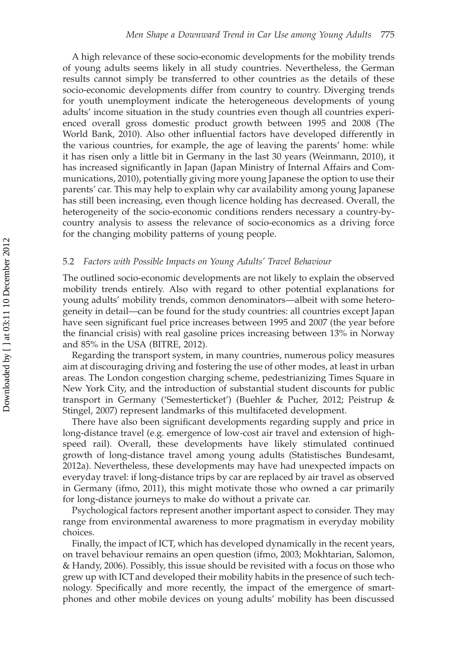A high relevance of these socio-economic developments for the mobility trends of young adults seems likely in all study countries. Nevertheless, the German results cannot simply be transferred to other countries as the details of these socio-economic developments differ from country to country. Diverging trends for youth unemployment indicate the heterogeneous developments of young adults' income situation in the study countries even though all countries experienced overall gross domestic product growth between 1995 and 2008 (The World Bank, 2010). Also other influential factors have developed differently in the various countries, for example, the age of leaving the parents' home: while it has risen only a little bit in Germany in the last 30 years (Weinmann, 2010), it has increased significantly in Japan (Japan Ministry of Internal Affairs and Communications, 2010), potentially giving more young Japanese the option to use their parents' car. This may help to explain why car availability among young Japanese has still been increasing, even though licence holding has decreased. Overall, the heterogeneity of the socio-economic conditions renders necessary a country-bycountry analysis to assess the relevance of socio-economics as a driving force for the changing mobility patterns of young people.

#### 5.2 Factors with Possible Impacts on Young Adults' Travel Behaviour

The outlined socio-economic developments are not likely to explain the observed mobility trends entirely. Also with regard to other potential explanations for young adults' mobility trends, common denominators—albeit with some heterogeneity in detail—can be found for the study countries: all countries except Japan have seen significant fuel price increases between 1995 and 2007 (the year before the financial crisis) with real gasoline prices increasing between 13% in Norway and 85% in the USA (BITRE, 2012).

Regarding the transport system, in many countries, numerous policy measures aim at discouraging driving and fostering the use of other modes, at least in urban areas. The London congestion charging scheme, pedestrianizing Times Square in New York City, and the introduction of substantial student discounts for public transport in Germany ('Semesterticket') (Buehler & Pucher, 2012; Peistrup & Stingel, 2007) represent landmarks of this multifaceted development.

There have also been significant developments regarding supply and price in long-distance travel (e.g. emergence of low-cost air travel and extension of highspeed rail). Overall, these developments have likely stimulated continued growth of long-distance travel among young adults (Statistisches Bundesamt, 2012a). Nevertheless, these developments may have had unexpected impacts on everyday travel: if long-distance trips by car are replaced by air travel as observed in Germany (ifmo, 2011), this might motivate those who owned a car primarily for long-distance journeys to make do without a private car.

Psychological factors represent another important aspect to consider. They may range from environmental awareness to more pragmatism in everyday mobility choices.

Finally, the impact of ICT, which has developed dynamically in the recent years, on travel behaviour remains an open question (ifmo, 2003; Mokhtarian, Salomon, & Handy, 2006). Possibly, this issue should be revisited with a focus on those who grew up with ICTand developed their mobility habits in the presence of such technology. Specifically and more recently, the impact of the emergence of smartphones and other mobile devices on young adults' mobility has been discussed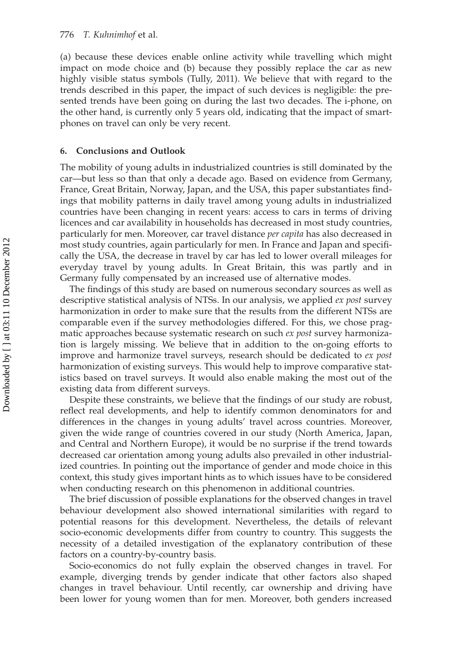(a) because these devices enable online activity while travelling which might impact on mode choice and (b) because they possibly replace the car as new highly visible status symbols (Tully, 2011). We believe that with regard to the trends described in this paper, the impact of such devices is negligible: the presented trends have been going on during the last two decades. The i-phone, on the other hand, is currently only 5 years old, indicating that the impact of smartphones on travel can only be very recent.

#### 6. Conclusions and Outlook

The mobility of young adults in industrialized countries is still dominated by the car—but less so than that only a decade ago. Based on evidence from Germany, France, Great Britain, Norway, Japan, and the USA, this paper substantiates findings that mobility patterns in daily travel among young adults in industrialized countries have been changing in recent years: access to cars in terms of driving licences and car availability in households has decreased in most study countries, particularly for men. Moreover, car travel distance per capita has also decreased in most study countries, again particularly for men. In France and Japan and specifically the USA, the decrease in travel by car has led to lower overall mileages for everyday travel by young adults. In Great Britain, this was partly and in Germany fully compensated by an increased use of alternative modes.

The findings of this study are based on numerous secondary sources as well as descriptive statistical analysis of NTSs. In our analysis, we applied *ex post* survey harmonization in order to make sure that the results from the different NTSs are comparable even if the survey methodologies differed. For this, we chose pragmatic approaches because systematic research on such ex post survey harmonization is largely missing. We believe that in addition to the on-going efforts to improve and harmonize travel surveys, research should be dedicated to ex post harmonization of existing surveys. This would help to improve comparative statistics based on travel surveys. It would also enable making the most out of the existing data from different surveys.

Despite these constraints, we believe that the findings of our study are robust, reflect real developments, and help to identify common denominators for and differences in the changes in young adults' travel across countries. Moreover, given the wide range of countries covered in our study (North America, Japan, and Central and Northern Europe), it would be no surprise if the trend towards decreased car orientation among young adults also prevailed in other industrialized countries. In pointing out the importance of gender and mode choice in this context, this study gives important hints as to which issues have to be considered when conducting research on this phenomenon in additional countries.

The brief discussion of possible explanations for the observed changes in travel behaviour development also showed international similarities with regard to potential reasons for this development. Nevertheless, the details of relevant socio-economic developments differ from country to country. This suggests the necessity of a detailed investigation of the explanatory contribution of these factors on a country-by-country basis.

Socio-economics do not fully explain the observed changes in travel. For example, diverging trends by gender indicate that other factors also shaped changes in travel behaviour. Until recently, car ownership and driving have been lower for young women than for men. Moreover, both genders increased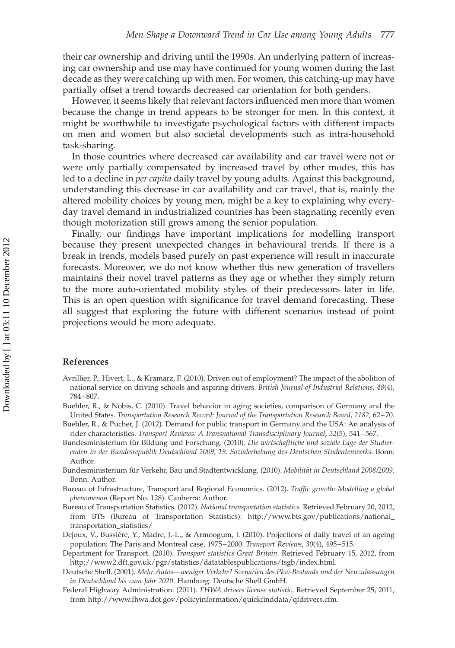their car ownership and driving until the 1990s. An underlying pattern of increasing car ownership and use may have continued for young women during the last decade as they were catching up with men. For women, this catching-up may have partially offset a trend towards decreased car orientation for both genders.

However, it seems likely that relevant factors influenced men more than women because the change in trend appears to be stronger for men. In this context, it might be worthwhile to investigate psychological factors with different impacts on men and women but also societal developments such as intra-household task-sharing.

In those countries where decreased car availability and car travel were not or were only partially compensated by increased travel by other modes, this has led to a decline in per capita daily travel by young adults. Against this background, understanding this decrease in car availability and car travel, that is, mainly the altered mobility choices by young men, might be a key to explaining why everyday travel demand in industrialized countries has been stagnating recently even though motorization still grows among the senior population.

Finally, our findings have important implications for modelling transport because they present unexpected changes in behavioural trends. If there is a break in trends, models based purely on past experience will result in inaccurate forecasts. Moreover, we do not know whether this new generation of travellers maintains their novel travel patterns as they age or whether they simply return to the more auto-orientated mobility styles of their predecessors later in life. This is an open question with significance for travel demand forecasting. These all suggest that exploring the future with different scenarios instead of point projections would be more adequate.

#### References

- Avrillier, P., Hivert, L., & Kramarz, F. (2010). Driven out of employment? The impact of the abolition of national service on driving schools and aspiring drivers. British Journal of Industrial Relations, 48(4), 784–807.
- Buehler, R., & Nobis, C. (2010). Travel behavior in aging societies, comparison of Germany and the United States. Transportation Research Record: Journal of the Transportation Research Board, 2182, 62–70.
- Buehler, R., & Pucher, J. (2012). Demand for public transport in Germany and the USA: An analysis of rider characteristics. Transport Reviews: A Transnational Transdisciplinary Journal, 32(5), 541–567.
- Bundesministerium für Bildung und Forschung. (2010). Die wirtschaftliche und soziale Lage der Studierenden in der Bundesrepublik Deutschland 2009, 19. Sozialerhebung des Deutschen Studentenwerks. Bonn: Author.
- Bundesministerium für Verkehr, Bau und Stadtentwicklung. (2010). Mobilität in Deutschland 2008/2009. Bonn: Author.

Bureau of Infrastructure, Transport and Regional Economics. (2012). Traffic growth: Modelling a global phenomenon (Report No. 128). Canberra: Author.

- Bureau of Transportation Statistics. (2012). National transportation statistics. Retrieved February 20, 2012, from BTS (Bureau of Transportation Statistics): [http://www.bts.gov/publications/national\\_](http://www.bts.gov/publications/national_transportation_statistics/) [transportation\\_statistics/](http://www.bts.gov/publications/national_transportation_statistics/)
- Dejoux, V., Bussiére, Y., Madre, J.-L., & Armoogum, J. (2010). Projections of daily travel of an ageing population: The Paris and Montreal case, 1975–2000. Transport Reviews, 30(4), 495–515.
- Department for Transport. (2010). Transport statistics Great Britain. Retrieved February 15, 2012, from <http://www2.dft.gov.uk/pgr/statistics/datatablespublications/tsgb/index.html>.
- Deutsche Shell. (2001). Mehr Autos—weniger Verkehr? Szenarien des Pkw-Bestands und der Neuzulassungen in Deutschland bis zum Jahr 2020. Hamburg: Deutsche Shell GmbH.
- Federal Highway Administration. (2011). FHWA drivers license statistic. Retrieved September 25, 2011, from<http://www.fhwa.dot.gov/policyinformation/quickfinddata/qfdrivers.cfm>.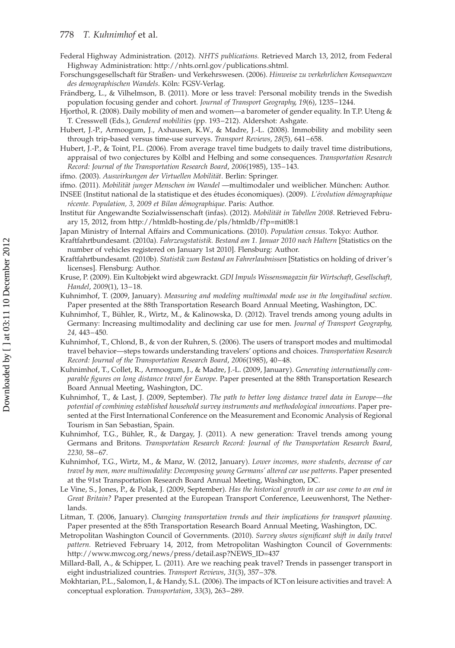#### 778 T. Kuhnimhof et al.

- Federal Highway Administration. (2012). NHTS publications. Retrieved March 13, 2012, from Federal Highway Administration:<http://nhts.ornl.gov/publications.shtml>.
- Forschungsgesellschaft für Straßen- und Verkehrswesen. (2006). Hinweise zu verkehrlichen Konsequenzen des demographischen Wandels. Köln: FGSV-Verlag.
- Frändberg, L., & Vilhelmson, B. (2011). More or less travel: Personal mobility trends in the Swedish population focusing gender and cohort. Journal of Transport Geography, 19(6), 1235–1244.
- Hjorthol, R. (2008). Daily mobility of men and women—a barometer of gender equality. In T.P. Uteng & T. Cresswell (Eds.), Gendered mobilities (pp. 193–212). Aldershot: Ashgate.
- Hubert, J.-P., Armoogum, J., Axhausen, K.W., & Madre, J.-L. (2008). Immobility and mobility seen through trip-based versus time-use surveys. Transport Reviews, 28(5), 641-658.
- Hubert, J.-P., & Toint, P.L. (2006). From average travel time budgets to daily travel time distributions, appraisal of two conjectures by Kölbl and Helbing and some consequences. Transportation Research Record: Journal of the Transportation Research Board, 2006(1985), 135–143.
- ifmo. (2003). Auswirkungen der Virtuellen Mobilität. Berlin: Springer.
- ifmo. (2011). Mobilität junger Menschen im Wandel —multimodaler und weiblicher. München: Author.
- INSEE (Institut national de la statistique et des études économiques). (2009). L'évolution démographique récente. Population, 3, 2009 et Bilan démographique. Paris: Author.
- Institut für Angewandte Sozialwissenschaft (infas). (2012). Mobilität in Tabellen 2008. Retrieved February 15, 2012, from<http://htmldb-hosting.de/pls/htmldb/f?p=mit08:1>

Japan Ministry of Internal Affairs and Communications. (2010). Population census. Tokyo: Author.

- Kraftfahrtbundesamt. (2010a). Fahrzeugstatistik. Bestand am 1. Januar 2010 nach Haltern [Statistics on the number of vehicles registered on January 1st 2010]. Flensburg: Author.
- Kraftfahrtbundesamt. (2010b). Statistik zum Bestand an Fahrerlaubnissen [Statistics on holding of driver's licenses]. Flensburg: Author.
- Kruse, P. (2009). Ein Kultobjekt wird abgewrackt. GDI Impuls Wissensmagazin für Wirtschaft, Gesellschaft, Handel, 2009(1), 13–18.
- Kuhnimhof, T. (2009, January). Measuring and modeling multimodal mode use in the longitudinal section. Paper presented at the 88th Transportation Research Board Annual Meeting, Washington, DC.
- Kuhnimhof, T., Bühler, R., Wirtz, M., & Kalinowska, D. (2012). Travel trends among young adults in Germany: Increasing multimodality and declining car use for men. Journal of Transport Geography, 24, 443–450.
- Kuhnimhof, T., Chlond, B., & von der Ruhren, S. (2006). The users of transport modes and multimodal travel behavior—steps towards understanding travelers' options and choices. Transportation Research Record: Journal of the Transportation Research Board, 2006(1985), 40–48.
- Kuhnimhof, T., Collet, R., Armoogum, J., & Madre, J.-L. (2009, January). Generating internationally comparable figures on long distance travel for Europe. Paper presented at the 88th Transportation Research Board Annual Meeting, Washington, DC.
- Kuhnimhof, T., & Last, J. (2009, September). The path to better long distance travel data in Europe—the potential of combining established household survey instruments and methodological innovations. Paper presented at the First International Conference on the Measurement and Economic Analysis of Regional Tourism in San Sebastian, Spain.
- Kuhnimhof, T.G., Bühler, R., & Dargay, J. (2011). A new generation: Travel trends among young Germans and Britons. Transportation Research Record: Journal of the Transportation Research Board, 2230, 58–67.
- Kuhnimhof, T.G., Wirtz, M., & Manz, W. (2012, January). Lower incomes, more students, decrease of car travel by men, more multimodality: Decomposing young Germans' altered car use patterns. Paper presented at the 91st Transportation Research Board Annual Meeting, Washington, DC.
- Le Vine, S., Jones, P., & Polak, J. (2009, September). Has the historical growth in car use come to an end in Great Britain? Paper presented at the European Transport Conference, Leeuwenhorst, The Netherlands.
- Litman, T. (2006, January). Changing transportation trends and their implications for transport planning. Paper presented at the 85th Transportation Research Board Annual Meeting, Washington, DC.
- Metropolitan Washington Council of Governments. (2010). Survey shows significant shift in daily travel pattern. Retrieved February 14, 2012, from Metropolitan Washington Council of Governments: [http://www.mwcog.org/news/press/detail.asp?NEWS\\_ID=437](http://www.mwcog.org/news/press/detail.asp?NEWS_ID=437)
- Millard-Ball, A., & Schipper, L. (2011). Are we reaching peak travel? Trends in passenger transport in eight industrialized countries. Transport Reviews, 31(3), 357–378.
- Mokhtarian, P.L., Salomon, I., & Handy, S.L. (2006). The impacts of ICTon leisure activities and travel: A conceptual exploration. Transportation, 33(3), 263–289.